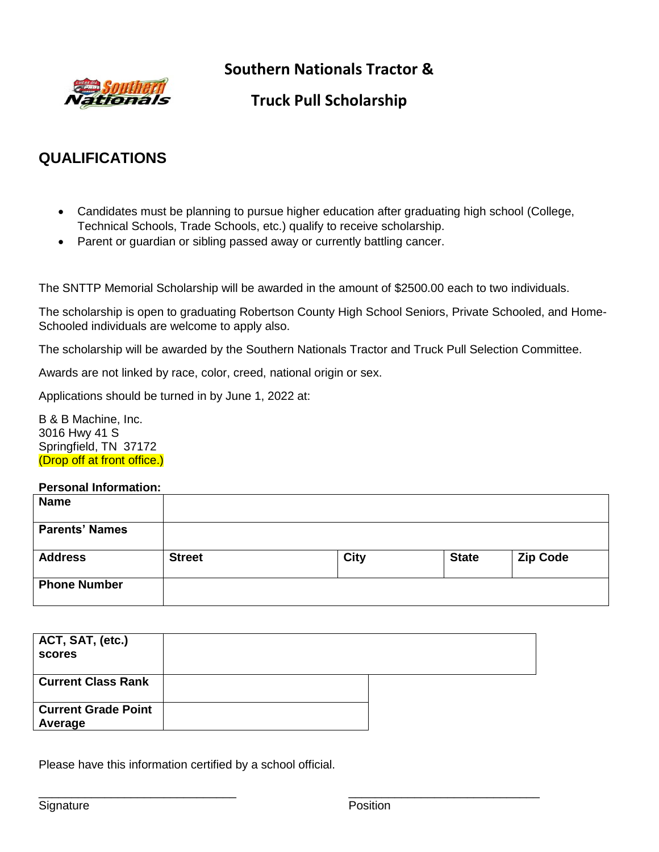

**Southern Nationals Tractor &**

# **Truck Pull Scholarship**

# **QUALIFICATIONS**

- Candidates must be planning to pursue higher education after graduating high school (College, Technical Schools, Trade Schools, etc.) qualify to receive scholarship.
- Parent or guardian or sibling passed away or currently battling cancer.

The SNTTP Memorial Scholarship will be awarded in the amount of \$2500.00 each to two individuals.

The scholarship is open to graduating Robertson County High School Seniors, Private Schooled, and Home-Schooled individuals are welcome to apply also.

The scholarship will be awarded by the Southern Nationals Tractor and Truck Pull Selection Committee.

Awards are not linked by race, color, creed, national origin or sex.

Applications should be turned in by June 1, 2022 at:

B & B Machine, Inc. 3016 Hwy 41 S Springfield, TN 37172 (Drop off at front office.)

## **Personal Information:**

| <b>Name</b>           |               |             |              |                 |
|-----------------------|---------------|-------------|--------------|-----------------|
| <b>Parents' Names</b> |               |             |              |                 |
| <b>Address</b>        | <b>Street</b> | <b>City</b> | <b>State</b> | <b>Zip Code</b> |
| <b>Phone Number</b>   |               |             |              |                 |

| ACT, SAT, (etc.)<br>scores            |  |
|---------------------------------------|--|
| <b>Current Class Rank</b>             |  |
| <b>Current Grade Point</b><br>Average |  |

 $\overline{\phantom{a}}$  , and the contract of the contract of the contract of the contract of the contract of the contract of the contract of the contract of the contract of the contract of the contract of the contract of the contrac

Please have this information certified by a school official.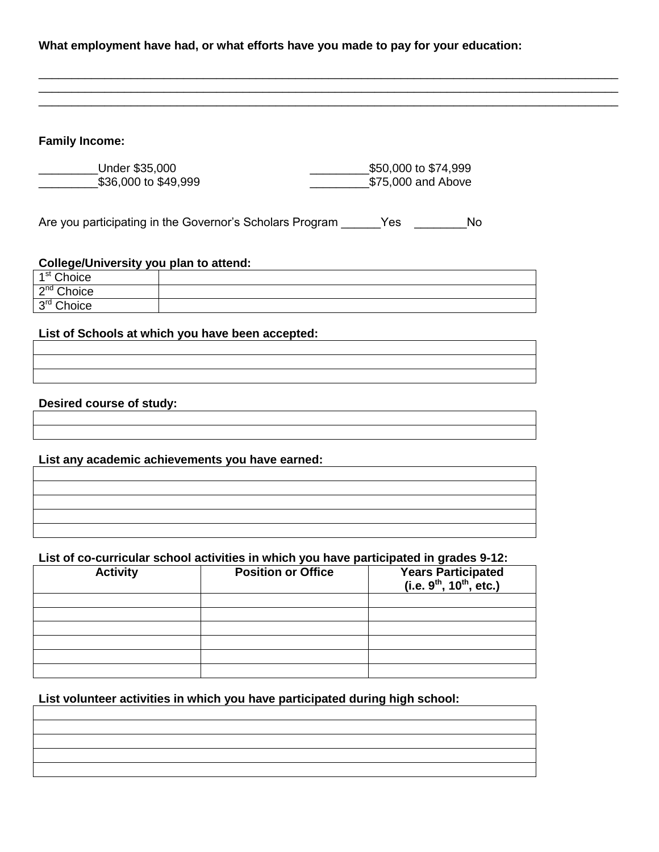#### **What employment have had, or what efforts have you made to pay for your education:**

\_\_\_\_\_\_\_\_\_\_\_\_\_\_\_\_\_\_\_\_\_\_\_\_\_\_\_\_\_\_\_\_\_\_\_\_\_\_\_\_\_\_\_\_\_\_\_\_\_\_\_\_\_\_\_\_\_\_\_\_\_\_\_\_\_\_\_\_\_\_\_\_\_\_\_\_\_\_\_\_\_\_\_\_\_\_\_\_ \_\_\_\_\_\_\_\_\_\_\_\_\_\_\_\_\_\_\_\_\_\_\_\_\_\_\_\_\_\_\_\_\_\_\_\_\_\_\_\_\_\_\_\_\_\_\_\_\_\_\_\_\_\_\_\_\_\_\_\_\_\_\_\_\_\_\_\_\_\_\_\_\_\_\_\_\_\_\_\_\_\_\_\_\_\_\_\_ \_\_\_\_\_\_\_\_\_\_\_\_\_\_\_\_\_\_\_\_\_\_\_\_\_\_\_\_\_\_\_\_\_\_\_\_\_\_\_\_\_\_\_\_\_\_\_\_\_\_\_\_\_\_\_\_\_\_\_\_\_\_\_\_\_\_\_\_\_\_\_\_\_\_\_\_\_\_\_\_\_\_\_\_\_\_\_\_

### **Family Income:**

\_\_\_\_\_\_\_\_\_Under \$35,000 \_\_\_\_\_\_\_\_\_\$50,000 to \$74,999 \_\_\_\_\_\_\_\_\_\$36,000 to \$49,999 \_\_\_\_\_\_\_\_\_\$75,000 and Above

Are you participating in the Governor's Scholars Program Yes Yes

## **College/University you plan to attend:**

| ⊿st<br>Choice               |  |
|-----------------------------|--|
| ഹnd<br>Choice               |  |
| 3 <sup>rd</sup> Choice<br>ັ |  |

#### **List of Schools at which you have been accepted:**

#### **Desired course of study:**

**List any academic achievements you have earned:**

#### **List of co-curricular school activities in which you have participated in grades 9-12:**

| <b>Activity</b> | <b>Position or Office</b> | Years Participated<br>(i.e. 9 <sup>th</sup> , 10 <sup>th</sup> , etc.) |
|-----------------|---------------------------|------------------------------------------------------------------------|
|                 |                           |                                                                        |
|                 |                           |                                                                        |
|                 |                           |                                                                        |
|                 |                           |                                                                        |
|                 |                           |                                                                        |
|                 |                           |                                                                        |

## **List volunteer activities in which you have participated during high school:**